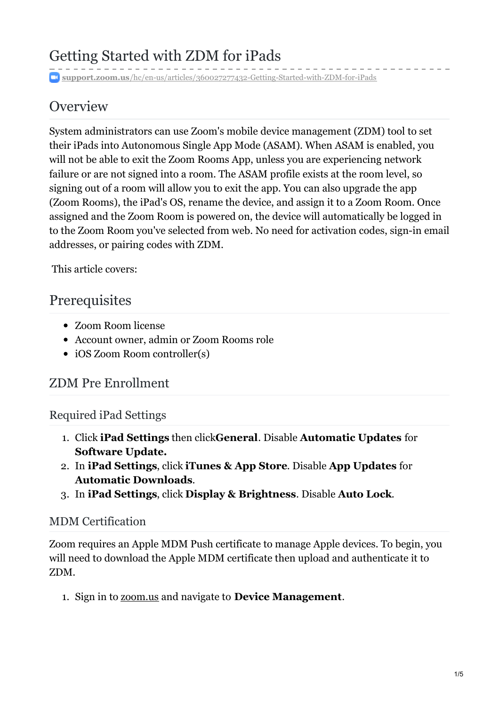# Getting Started with ZDM for iPads

**support.zoom.us**[/hc/en-us/articles/360027277432-Getting-Started-with-ZDM-for-iPads](https://support.zoom.us/hc/en-us/articles/360027277432-Getting-Started-with-ZDM-for-iPads)

## **Overview**

System administrators can use Zoom's mobile device management (ZDM) tool to set their iPads into Autonomous Single App Mode (ASAM). When ASAM is enabled, you will not be able to exit the Zoom Rooms App, unless you are experiencing network failure or are not signed into a room. The ASAM profile exists at the room level, so signing out of a room will allow you to exit the app. You can also upgrade the app (Zoom Rooms), the iPad's OS, rename the device, and assign it to a Zoom Room. Once assigned and the Zoom Room is powered on, the device will automatically be logged in to the Zoom Room you've selected from web. No need for activation codes, sign-in email addresses, or pairing codes with ZDM.

This article covers:

### **Prerequisites**

- Zoom Room license
- Account owner, admin or Zoom Rooms role
- iOS Zoom Room controller(s)

### ZDM Pre Enrollment

### Required iPad Settings

- 1. Click **iPad Settings** then click**General**. Disable **Automatic Updates** for **Software Update.**
- 2. In **iPad Settings**, click **iTunes & App Store**. Disable **App Updates** for **Automatic Downloads**.
- 3. In **iPad Settings**, click **Display & Brightness**. Disable **Auto Lock**.

#### MDM Certification

Zoom requires an Apple MDM Push certificate to manage Apple devices. To begin, you will need to download the Apple MDM certificate then upload and authenticate it to ZDM.

1. Sign in to [zoom.us](https://support.zoom.us/hc/en-us/articles/zoom.us) and navigate to **Device Management**.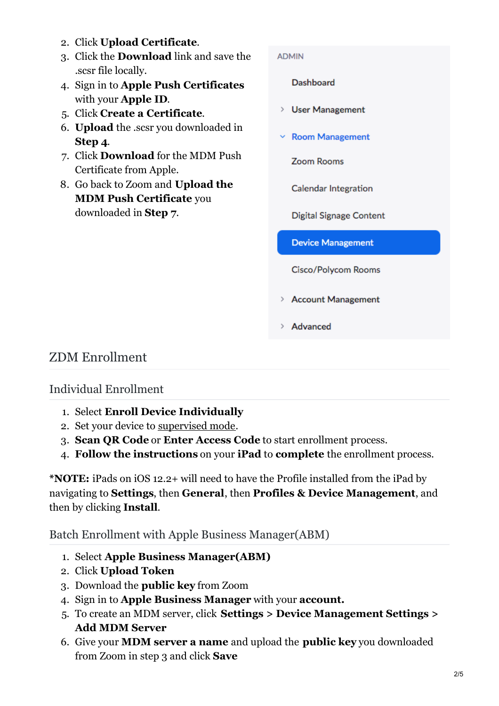- 2. Click **Upload Certificate**.
- 3. Click the **Download** link and save the .scsr file locally.
- 4. Sign in to **Apple Push Certificates** with your **Apple ID**.
- 5. Click **Create a Certificate**.
- 6. **Upload** the .scsr you downloaded in **Step 4**.
- 7. Click **Download** for the MDM Push Certificate from Apple.
- 8. Go back to Zoom and **Upload the MDM Push Certificate** you downloaded in **Step 7**.

#### **ADMIN**

Dashboard

- > User Management
- $\times$  Room Management

Zoom Rooms

Calendar Integration

**Digital Signage Content** 

**Device Management** 

Cisco/Polycom Rooms

- > Account Management
- > Advanced

### ZDM Enrollment

#### Individual Enrollment

- 1. Select **Enroll Device Individually**
- 2. Set your device to [supervised](https://support.zoom.us/hc/en-us/articles/360027734052) mode.
- 3. **Scan QR Code** or **Enter Access Code** to start enrollment process.
- 4. **Follow the instructions** on your **iPad** to **complete** the enrollment process.

**\*NOTE:** iPads on iOS 12.2+ will need to have the Profile installed from the iPad by navigating to **Settings**, then **General**, then **Profiles & Device Management**, and then by clicking **Install**.

Batch Enrollment with Apple Business Manager(ABM)

- 1. Select **Apple Business Manager(ABM)**
- 2. Click **Upload Token**
- 3. Download the **public key** from Zoom
- 4. Sign in to **Apple Business Manager** with your **account.**
- 5. To create an MDM server, click **Settings > Device Management Settings > Add MDM Server**
- 6. Give your **MDM server a name** and upload the **public key** you downloaded from Zoom in step 3 and click **Save**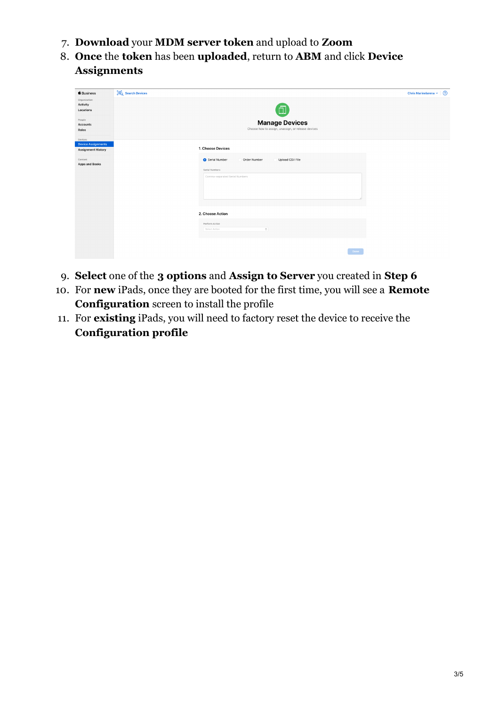- 7. **Download** your **MDM server token** and upload to **Zoom**
- 8. **Once** the **token** has been **uploaded**, return to **ABM** and click **Device Assignments**

| <b>6</b> Business                     | <b>III</b> Q Search Devices                                                 | $\odot$<br>Chris Marinelarena ~ |
|---------------------------------------|-----------------------------------------------------------------------------|---------------------------------|
| Organization<br>Activity<br>Locations | ō                                                                           |                                 |
| People<br>Accounts<br>Roles           | <b>Manage Devices</b><br>Choose how to assign, unassign, or release devices |                                 |
| Devices<br><b>Device Assignments</b>  |                                                                             |                                 |
| <b>Assignment History</b>             | 1. Choose Devices                                                           |                                 |
| Content<br><b>Apps and Books</b>      | Serial Number<br>Order Number<br>Upload CSV File                            |                                 |
|                                       | Serial Numbers                                                              |                                 |
|                                       | Comma-separated Serial Numbers                                              |                                 |
|                                       |                                                                             |                                 |
|                                       |                                                                             |                                 |
|                                       | 2. Choose Action                                                            |                                 |
|                                       | Perform Action<br>Select Action<br>$\mathbb{C}^{\times}$                    |                                 |
|                                       |                                                                             |                                 |
|                                       | Done                                                                        |                                 |

- 9. **Select** one of the **3 options** and **Assign to Server** you created in **Step 6**
- 10. For **new** iPads, once they are booted for the first time, you will see a **Remote Configuration** screen to install the profile
- 11. For **existing** iPads, you will need to factory reset the device to receive the **Configuration profile**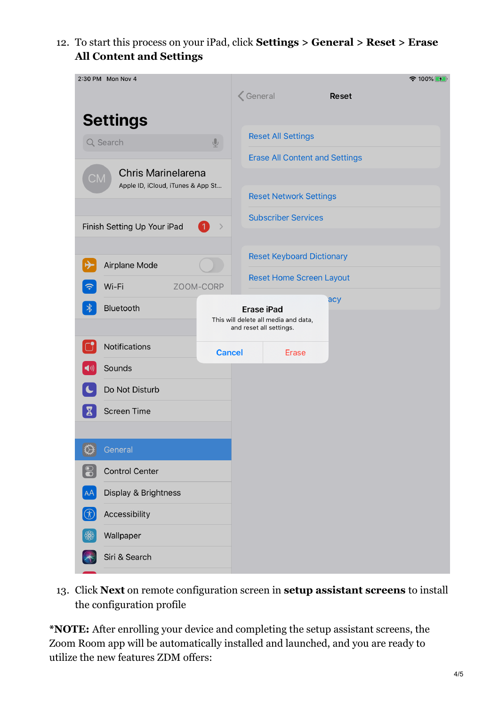12. To start this process on your iPad, click **Settings > General > Reset > Erase All Content and Settings**



13. Click **Next** on remote configuration screen in **setup assistant screens** to install the configuration profile

**\*NOTE:** After enrolling your device and completing the setup assistant screens, the Zoom Room app will be automatically installed and launched, and you are ready to utilize the new features ZDM offers: